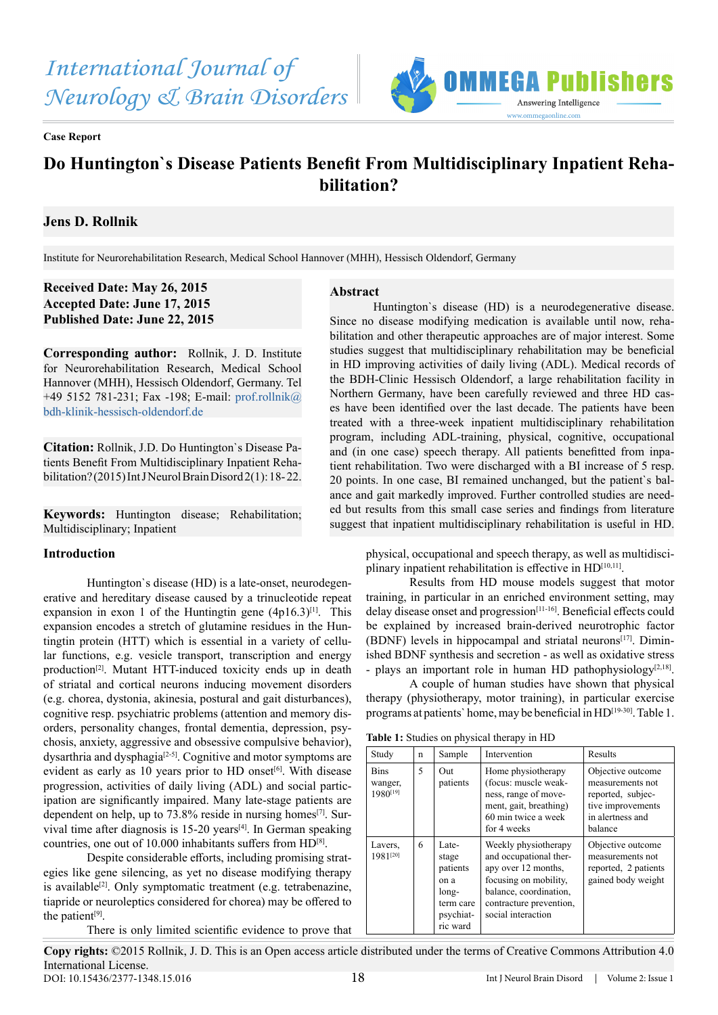

**Case Report**

# **Do Huntington`s Disease Patients Benefit From Multidisciplinary Inpatient Rehabilitation?**

# **Jens D. Rollnik**

Institute for Neurorehabilitation Research, Medical School Hannover (MHH), Hessisch Oldendorf, Germany

**Received Date: May 26, 2015 Accepted Date: June 17, 2015 Published Date: June 22, 2015**

**Corresponding author:** Rollnik, J. D. Institute for Neurorehabilitation Research, Medical School Hannover (MHH), Hessisch Oldendorf, Germany. Tel +49 5152 781-231; Fax -198; E-mail: prof.rollnik@ bdh-klinik-hessisch-oldendorf.de

**Citation:** Rollnik, J.D. Do Huntington`s Disease Patients Benefit From Multidisciplinary Inpatient Rehabilitation? (2015) Int J Neurol Brain Disord 2(1): 18- 22.

**Keywords:** Huntington disease; Rehabilitation; Multidisciplinary; Inpatient

## **Introduction**

Huntington`s disease (HD) is a late-onset, neurodegenerative and hereditary disease caused by a trinucleotide repeat expansion in exon 1 of the Huntingtin gene  $(4p16.3)^{[1]}$ . This expansion encodes a stretch of glutamine residues in the Huntingtin protein (HTT) which is essential in a variety of cellular functions, e.g. vesicle transport, transcription and energy production<sup>[\[2\]](#page-3-1)</sup>. Mutant HTT-induced toxicity ends up in death of striatal and cortical neurons inducing movement disorders (e.g. chorea, dystonia, akinesia, postural and gait disturbances), cognitive resp. psychiatric problems (attention and memory disorders, personality changes, frontal dementia, depression, psychosis, anxiety, aggressive and obsessive compulsive behavior), dysarthria and dysphagia<sup>[\[2-5\]](#page-3-1)</sup>. Cognitive and motor symptoms are evident as early as 10 years prior to HD onset<sup>[6]</sup>. With disease progression, activities of daily living (ADL) and social participation are significantly impaired. Many late-stage patients are dependent on help, up to  $73.8\%$  reside in nursing homes<sup>[\[7\]](#page-3-3)</sup>. Survival time after diagnosis is 15-20 years<sup>[4]</sup>. In German speaking countries, one out of 10.000 inhabitants suffers from HD[\[8\]](#page-3-5).

Despite considerable efforts, including promising strategies like gene silencing, as yet no disease modifying therapy is available<sup>[\[2\]](#page-3-1)</sup>. Only symptomatic treatment (e.g. tetrabenazine, tiapride or neuroleptics considered for chorea) may be offered to the patient<sup>[\[9\]](#page-3-6)</sup>.

There is only limited scientific evidence to prove that

### **Abstract**

Huntington`s disease (HD) is a neurodegenerative disease. Since no disease modifying medication is available until now, rehabilitation and other therapeutic approaches are of major interest. Some studies suggest that multidisciplinary rehabilitation may be beneficial in HD improving activities of daily living (ADL). Medical records of the BDH-Clinic Hessisch Oldendorf, a large rehabilitation facility in Northern Germany, have been carefully reviewed and three HD cases have been identified over the last decade. The patients have been treated with a three-week inpatient multidisciplinary rehabilitation program, including ADL-training, physical, cognitive, occupational and (in one case) speech therapy. All patients benefitted from inpatient rehabilitation. Two were discharged with a BI increase of 5 resp. 20 points. In one case, BI remained unchanged, but the patient`s balance and gait markedly improved. Further controlled studies are needed but results from this small case series and findings from literature suggest that inpatient multidisciplinary rehabilitation is useful in HD.

physical, occupational and speech therapy, as well as multidisci-plinary inpatient rehabilitation is effective in HD<sup>[\[10,11\]](#page-3-7)</sup>.

Results from HD mouse models suggest that motor training, in particular in an enriched environment setting, may delay disease onset and progression<sup>[11-16]</sup>. Beneficial effects could be explained by increased brain-derived neurotrophic factor (BDNF) levels in hippocampal and striatal neurons<sup>[\[17\]](#page-3-9)</sup>. Diminished BDNF synthesis and secretion - as well as oxidative stress - plays an important role in human HD pathophysiology<sup>[\[2,18\]](#page-3-1)</sup>.

A couple of human studies have shown that physical therapy (physiotherapy, motor training), in particular exercise programs at patients` home, may be beneficial in H[D\[19-30\].](#page-3-10) Table 1.

**Table 1:** Studies on physical therapy in HD

| Study                              | n | Sample                                                                            | Intervention                                                                                                                                                              | Results                                                                                                        |
|------------------------------------|---|-----------------------------------------------------------------------------------|---------------------------------------------------------------------------------------------------------------------------------------------------------------------------|----------------------------------------------------------------------------------------------------------------|
| <b>Bins</b><br>wanger,<br>1980[19] | 5 | Out<br>patients                                                                   | Home physiotherapy<br>(focus: muscle weak-<br>ness, range of move-<br>ment, gait, breathing)<br>60 min twice a week<br>for 4 weeks                                        | Objective outcome<br>measurements not<br>reported, subjec-<br>tive improvements<br>in alertness and<br>balance |
| Lavers,<br>1981[20]                | 6 | Late-<br>stage<br>patients<br>on a<br>long-<br>term care<br>psychiat-<br>ric ward | Weekly physiotherapy<br>and occupational ther-<br>apy over 12 months,<br>focusing on mobility,<br>balance, coordination,<br>contracture prevention,<br>social interaction | Objective outcome<br>measurements not<br>reported, 2 patients<br>gained body weight                            |

**Copy rights:** ©2015 Rollnik, J. D. This is an Open access article distributed under the terms of Creative Commons Attribution 4.0 International License. DOI: 10.15436/2377-1348.15.016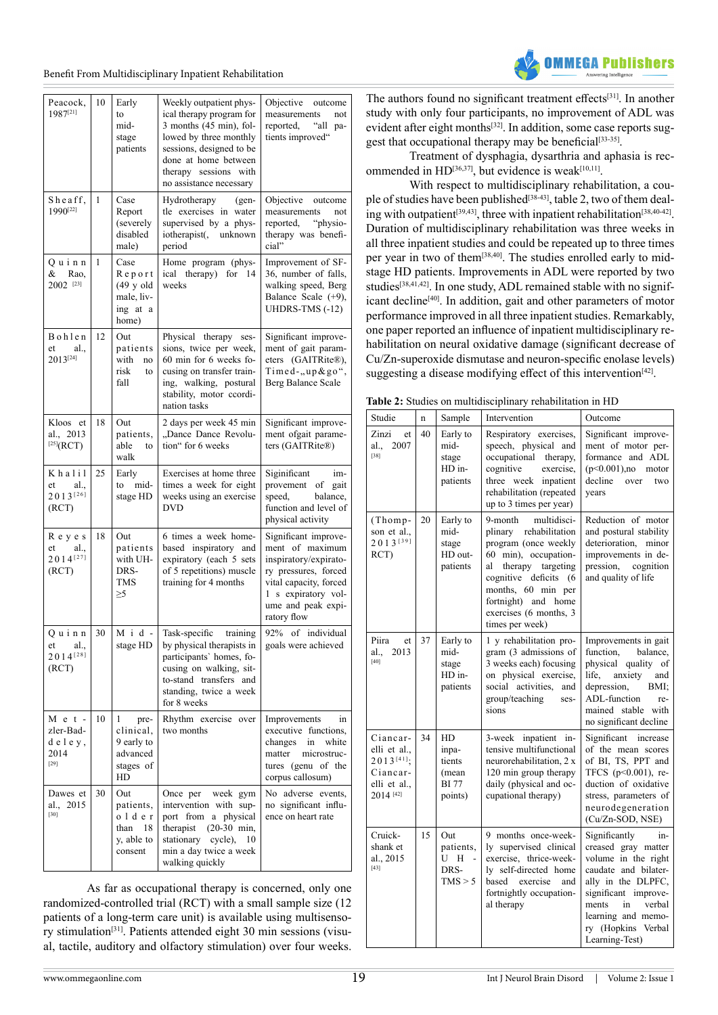Benefit From Multidisciplinary Inpatient Rehabilitation

| Peacock,<br>1987[21]                               | 10 | Early<br>to<br>mid-<br>stage<br>patients                                  | Weekly outpatient phys-<br>ical therapy program for<br>$3$ months $(45 \text{ min})$ , fol-<br>lowed by three monthly<br>sessions, designed to be<br>done at home between<br>therapy sessions with<br>no assistance necessary | Objective<br>outcome<br>measurements<br>not<br>reported,<br>"all pa-<br>tients improved"                                                                                       |
|----------------------------------------------------|----|---------------------------------------------------------------------------|-------------------------------------------------------------------------------------------------------------------------------------------------------------------------------------------------------------------------------|--------------------------------------------------------------------------------------------------------------------------------------------------------------------------------|
| Sheaff,<br>1990[22]                                | 1  | Case<br>Report<br>(severely<br>disabled<br>male)                          | Hydrotherapy<br>$(gen-$<br>tle exercises in water<br>supervised by a phys-<br>iotherapist(, unknown<br>period                                                                                                                 | Objective<br>outcome<br>measurements<br>not<br>reported,<br>"physio-<br>therapy was benefi-<br>cial"                                                                           |
| Ouinn<br>&<br>Rao,<br>2002 [23]                    | 1  | Case<br>Report<br>$(49 \text{ y old})$<br>male, liv-<br>ing at a<br>home) | Home program (phys-<br>ical therapy) for<br>14<br>weeks                                                                                                                                                                       | Improvement of SF-<br>36, number of falls,<br>walking speed, Berg<br>Balance Scale (+9),<br>UHDRS-TMS (-12)                                                                    |
| Bohlen<br>et<br>al.,<br>2013[24]                   | 12 | Out<br>patients<br>with<br>no<br>risk<br>to<br>fall                       | Physical therapy<br>ses-<br>sions, twice per week,<br>60 min for 6 weeks fo-<br>cusing on transfer train-<br>ing, walking, postural<br>stability, motor ccordi-<br>nation tasks                                               | Significant improve-<br>ment of gait param-<br>eters (GAITRite®),<br>Timed-"up&go",<br>Berg Balance Scale                                                                      |
| Kloos et<br>al., 2013<br>$^{[25]}(RCT)$            | 18 | Out<br>patients,<br>able<br>to<br>walk                                    | 2 days per week 45 min<br>"Dance Dance Revolu-<br>tion" for 6 weeks                                                                                                                                                           | Significant improve-<br>ment ofgait parame-<br>ters (GAITRite®)                                                                                                                |
| Khalil<br>et<br>al.,<br>2013[26]<br>(RCT)          | 25 | Early<br>mid-<br>to<br>stage HD                                           | Exercises at home three<br>times a week for eight<br>weeks using an exercise<br><b>DVD</b>                                                                                                                                    | Siginificant<br>im-<br>provement of gait<br>balance,<br>speed,<br>function and level of<br>physical activity                                                                   |
| Reyes<br>al.,<br>et<br>$2014^{[27]}$<br>(RCT)      | 18 | Out<br>patients<br>with UH-<br>DRS-<br><b>TMS</b><br>$\geq 5$             | 6 times a week home-<br>based inspiratory and<br>expiratory (each 5 sets<br>of 5 repetitions) muscle<br>training for 4 months                                                                                                 | Significant improve-<br>ment of maximum<br>inspiratory/expirato-<br>ry pressures, forced<br>vital capacity, forced<br>1 s expiratory vol-<br>ume and peak expi-<br>ratory flow |
| Quinn<br>al.,<br>et<br>$2014^{[28]}$<br>(RCT)      | 30 | $M$ i d -<br>stage HD                                                     | Task-specific<br>training<br>by physical therapists in<br>participants' homes, fo-<br>cusing on walking, sit-<br>to-stand transfers and<br>standing, twice a week<br>for 8 weeks                                              | 92% of individual<br>goals were achieved                                                                                                                                       |
| $M$ e t -<br>zler-Bad-<br>deley,<br>2014<br>$[29]$ | 10 | pre-<br>1<br>clinical,<br>9 early to<br>advanced<br>stages of<br>HD       | Rhythm exercise over<br>two months                                                                                                                                                                                            | Improvements<br>in<br>executive functions,<br>in<br>white<br>changes<br>matter<br>microstruc-<br>tures (genu of the<br>corpus callosum)                                        |
| Dawes et<br>al., 2015<br>$[30]$                    | 30 | Out<br>patients,<br>older<br>than<br>18<br>y, able to<br>consent          | Once per<br>week gym<br>intervention with sup-<br>port from a physical<br>therapist $(20-30$ min,<br>stationary<br>cycle),<br>10<br>min a day twice a week<br>walking quickly                                                 | No adverse events,<br>no significant influ-<br>ence on heart rate                                                                                                              |

As far as occupational therapy is concerned, only one randomized-controlled trial (RCT) with a small sample size (12 patients of a long-term care unit) is available using multisensory stimulation[\[31\].](#page-4-10) Patients attended eight 30 min sessions (visual, tactile, auditory and olfactory stimulation) over four weeks.

The authors found no significant treatment effects<sup>[31]</sup>. In another study with only four participants, no improvement of ADL was evident after eight months<sup>[32]</sup>. In addition, some case reports suggest that occupational therapy may be beneficial<sup>[33-35]</sup>.

IFAA Puhli

Treatment of dysphagia, dysarthria and aphasia is recommended in  $HD^{[36,37]}$  $HD^{[36,37]}$  $HD^{[36,37]}$ , but evidence is weak<sup>[\[10,11\]](#page-3-7)</sup>.

With respect to multidisciplinary rehabilitation, a cou-ple of studies have been published<sup>[\[38-43\]](#page-4-14)</sup>, table 2, two of them deal-ing with outpatient<sup>[\[39,43\]](#page-4-15)</sup>, three with inpatient rehabilitation<sup>[\[38,40-42\]](#page-4-14)</sup>. Duration of multidisciplinary rehabilitation was three weeks in all three inpatient studies and could be repeated up to three times per year in two of them[\[38,40\]](#page-4-14). The studies enrolled early to midstage HD patients. Improvements in ADL were reported by two studies<sup>[38,41,42]</sup>. In one study, ADL remained stable with no signif-icant decline<sup>[\[40\]](#page-4-16)</sup>. In addition, gait and other parameters of motor performance improved in all three inpatient studies. Remarkably, one paper reported an influence of inpatient multidisciplinary rehabilitation on neural oxidative damage (significant decrease of Cu/Zn-superoxide dismutase and neuron-specific enolase levels) suggesting a disease modifying effect of this intervention<sup>[42]</sup>.

|  |  | Table 2: Studies on multidisciplinary rehabilitation in HD |
|--|--|------------------------------------------------------------|
|--|--|------------------------------------------------------------|

| Studie                                                                                   | $\mathbf n$ | Sample                                                    | Intervention                                                                                                                                                                                                                                   | Outcome                                                                                                                                                                                                                         |
|------------------------------------------------------------------------------------------|-------------|-----------------------------------------------------------|------------------------------------------------------------------------------------------------------------------------------------------------------------------------------------------------------------------------------------------------|---------------------------------------------------------------------------------------------------------------------------------------------------------------------------------------------------------------------------------|
| Zinzi<br>et<br>2007<br>al.,<br>$[38]$                                                    | 40          | Early to<br>mid-<br>stage<br>HD in-<br>patients           | Respiratory exercises,<br>speech, physical and<br>occupational therapy,<br>cognitive<br>exercise,<br>three week inpatient<br>rehabilitation (repeated<br>up to 3 times per year)                                                               | Significant improve-<br>ment of motor per-<br>formance and ADL<br>$(p<0.001)$ ,no<br>motor<br>decline<br>over<br>two<br>years                                                                                                   |
| (Thomp-<br>son et al.,<br>2013[39]<br>RCT)                                               | 20          | Early to<br>mid-<br>stage<br>HD out-<br>patients          | multidisci-<br>9-month<br>plinary rehabilitation<br>program (once weekly<br>60 min), occupation-<br>therapy targeting<br>al<br>cognitive deficits (6<br>months, 60 min per<br>fortnight) and home<br>exercises (6 months, 3<br>times per week) | Reduction of motor<br>and postural stability<br>deterioration, minor<br>improvements in de-<br>pression,<br>cognition<br>and quality of life                                                                                    |
| Piira<br>et<br>2013<br>al<br>[40]                                                        | 37          | Early to<br>mid-<br>stage<br>HD in-<br>patients           | 1 y rehabilitation pro-<br>gram (3 admissions of<br>3 weeks each) focusing<br>on physical exercise,<br>social activities,<br>and<br>group/teaching<br>ses-<br>sions                                                                            | Improvements in gait<br>function.<br>balance.<br>physical quality of<br>life,<br>anxiety<br>and<br>depression,<br>BMI:<br>ADL-function<br>re-<br>mained stable with<br>no significant decline                                   |
| Ciancar-<br>elli et al.,<br>$2013^{[41]}$ :<br>Ciancar-<br>elli et al.,<br>$2014^{[42]}$ | 34          | HD<br>inpa-<br>tients<br>(mean<br><b>BI</b> 77<br>points) | 3-week inpatient in-<br>tensive multifunctional<br>neurorehabilitation, 2 x<br>120 min group therapy<br>daily (physical and oc-<br>cupational therapy)                                                                                         | Significant increase<br>of the mean scores<br>of BI, TS, PPT and<br>TFCS $(p<0.001)$ , re-<br>duction of oxidative<br>stress, parameters of<br>neurodegeneration<br>(Cu/Zn-SOD, NSE)                                            |
| Cruick-<br>shank et<br>al., 2015<br>$[43]$                                               | 15          | Out<br>patients,<br>U H<br>$\sim$<br>DRS-<br>TMS > 5      | 9 months once-week-<br>ly supervised clinical<br>exercise, thrice-week-<br>ly self-directed home<br>based exercise<br>and<br>fortnightly occupation-<br>al therapy                                                                             | Significantly<br>in-<br>creased gray matter<br>volume in the right<br>caudate and bilater-<br>ally in the DLPFC,<br>significant improve-<br>verbal<br>ments<br>in<br>learning and memo-<br>ry (Hopkins Verbal<br>Learning-Test) |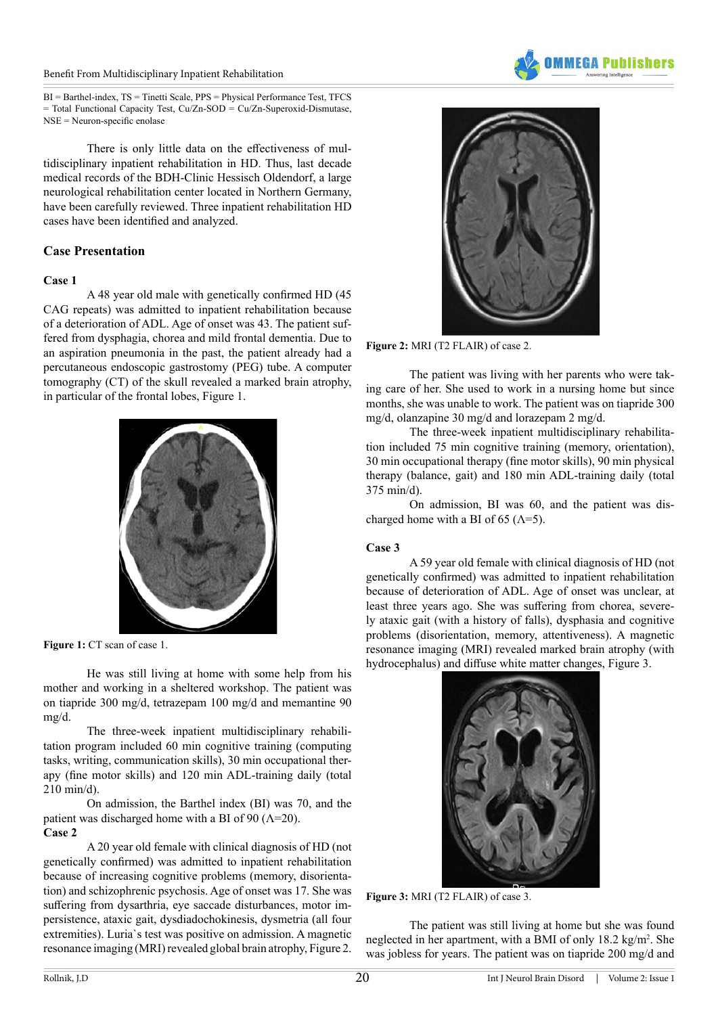#### Benefit From Multidisciplinary Inpatient Rehabilitation



There is only little data on the effectiveness of multidisciplinary inpatient rehabilitation in HD. Thus, last decade medical records of the BDH-Clinic Hessisch Oldendorf, a large neurological rehabilitation center located in Northern Germany, have been carefully reviewed. Three inpatient rehabilitation HD cases have been identified and analyzed.

## **Case Presentation**

## **Case 1**

A 48 year old male with genetically confirmed HD (45 CAG repeats) was admitted to inpatient rehabilitation because of a deterioration of ADL. Age of onset was 43. The patient suffered from dysphagia, chorea and mild frontal dementia. Due to an aspiration pneumonia in the past, the patient already had a percutaneous endoscopic gastrostomy (PEG) tube. A computer tomography (CT) of the skull revealed a marked brain atrophy, in particular of the frontal lobes, Figure 1.



**Figure 1:** CT scan of case 1.

He was still living at home with some help from his mother and working in a sheltered workshop. The patient was on tiapride 300 mg/d, tetrazepam 100 mg/d and memantine 90 mg/d.

The three-week inpatient multidisciplinary rehabilitation program included 60 min cognitive training (computing tasks, writing, communication skills), 30 min occupational therapy (fine motor skills) and 120 min ADL-training daily (total 210 min/d).

On admission, the Barthel index (BI) was 70, and the patient was discharged home with a BI of 90 ( $\Lambda$ =20). **Case 2**

A 20 year old female with clinical diagnosis of HD (not genetically confirmed) was admitted to inpatient rehabilitation because of increasing cognitive problems (memory, disorientation) and schizophrenic psychosis. Age of onset was 17. She was suffering from dysarthria, eye saccade disturbances, motor impersistence, ataxic gait, dysdiadochokinesis, dysmetria (all four extremities). Luria`s test was positive on admission. A magnetic resonance imaging (MRI) revealed global brain atrophy, Figure 2.





**Figure 2:** MRI (T2 FLAIR) of case 2.

The patient was living with her parents who were taking care of her. She used to work in a nursing home but since months, she was unable to work. The patient was on tiapride 300 mg/d, olanzapine 30 mg/d and lorazepam 2 mg/d.

The three-week inpatient multidisciplinary rehabilitation included 75 min cognitive training (memory, orientation), 30 min occupational therapy (fine motor skills), 90 min physical therapy (balance, gait) and 180 min ADL-training daily (total 375 min/d).

On admission, BI was 60, and the patient was discharged home with a BI of 65 ( $\Lambda$ =5).

## **Case 3**

A 59 year old female with clinical diagnosis of HD (not genetically confirmed) was admitted to inpatient rehabilitation because of deterioration of ADL. Age of onset was unclear, at least three years ago. She was suffering from chorea, severely ataxic gait (with a history of falls), dysphasia and cognitive problems (disorientation, memory, attentiveness). A magnetic resonance imaging (MRI) revealed marked brain atrophy (with hydrocephalus) and diffuse white matter changes, Figure 3.



**Figure 3:** MRI (T2 FLAIR) of case 3.

The patient was still living at home but she was found neglected in her apartment, with a BMI of only 18.2 kg/m<sup>2</sup>. She was jobless for years. The patient was on tiapride 200 mg/d and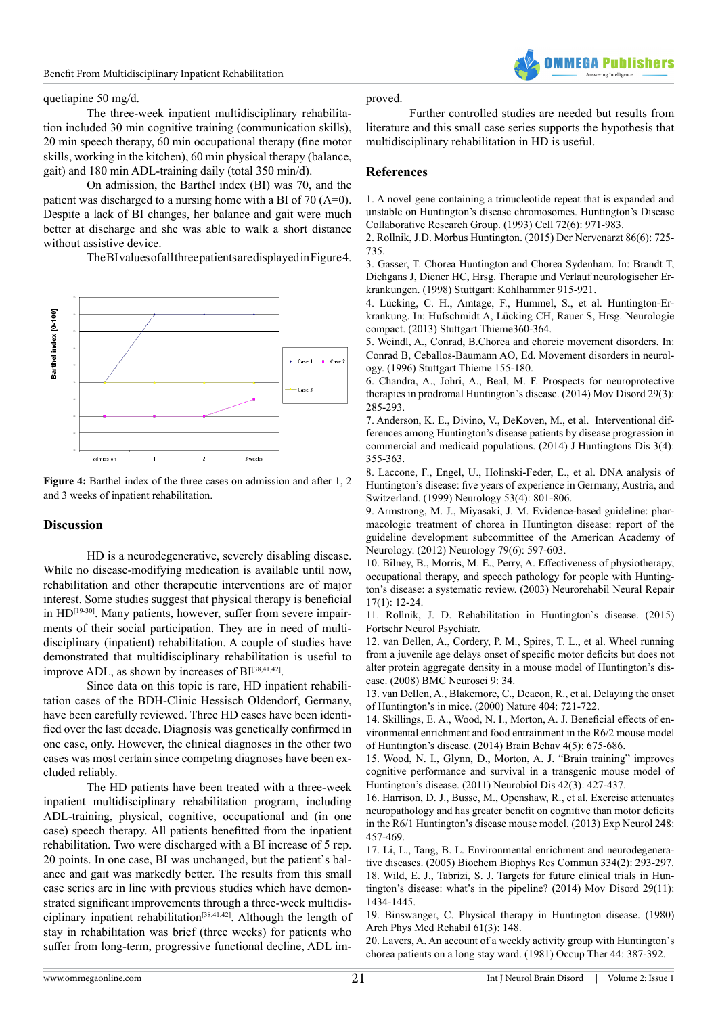

#### quetiapine 50 mg/d.

The three-week inpatient multidisciplinary rehabilitation included 30 min cognitive training (communication skills), 20 min speech therapy, 60 min occupational therapy (fine motor skills, working in the kitchen), 60 min physical therapy (balance, gait) and 180 min ADL-training daily (total 350 min/d).

On admission, the Barthel index (BI) was 70, and the patient was discharged to a nursing home with a BI of 70 ( $\Lambda$ =0). Despite a lack of BI changes, her balance and gait were much better at discharge and she was able to walk a short distance without assistive device.

The BI values of all three patients are displayed in Figure 4.



**Figure 4:** Barthel index of the three cases on admission and after 1, 2 and 3 weeks of inpatient rehabilitation.

## **Discussion**

HD is a neurodegenerative, severely disabling disease. While no disease-modifying medication is available until now, rehabilitation and other therapeutic interventions are of major interest. Some studies suggest that physical therapy is beneficial in HD<sup>[19-30]</sup>. Many patients, however, suffer from severe impairments of their social participation. They are in need of multidisciplinary (inpatient) rehabilitation. A couple of studies have demonstrated that multidisciplinary rehabilitation is useful to improve ADL, as shown by increases of BI<sup>[\[38,41,42\]](#page-4-14)</sup>.

Since data on this topic is rare, HD inpatient rehabilitation cases of the BDH-Clinic Hessisch Oldendorf, Germany, have been carefully reviewed. Three HD cases have been identified over the last decade. Diagnosis was genetically confirmed in one case, only. However, the clinical diagnoses in the other two cases was most certain since competing diagnoses have been excluded reliably.

The HD patients have been treated with a three-week inpatient multidisciplinary rehabilitation program, including ADL-training, physical, cognitive, occupational and (in one case) speech therapy. All patients benefitted from the inpatient rehabilitation. Two were discharged with a BI increase of 5 rep. 20 points. In one case, BI was unchanged, but the patient`s balance and gait was markedly better. The results from this small case series are in line with previous studies which have demonstrated significant improvements through a three-week multidis-ciplinary inpatient rehabilitation<sup>[\[38,41,42\]](#page-4-14)</sup>. Although the length of stay in rehabilitation was brief (three weeks) for patients who suffer from long-term, progressive functional decline, ADL im-

#### proved.

Further controlled studies are needed but results from literature and this small case series supports the hypothesis that multidisciplinary rehabilitation in HD is useful.

### **References**

<span id="page-3-0"></span>[1. A novel gene containing a trinucleotide repeat that is expanded and](http://www.ncbi.nlm.nih.gov/pubmed/8458085) [unstable on Huntington's disease chromosomes. Huntington's Disease](http://www.ncbi.nlm.nih.gov/pubmed/8458085) [Collaborative Research Group. \(1993\) Cell 72\(6\): 971-983.](http://www.ncbi.nlm.nih.gov/pubmed/8458085)

<span id="page-3-1"></span>[2. Rollnik, J.D. Morbus Huntington. \(2015\) Der Nervenarzt 86\(6\): 725-](http://link.springer.com/article/10.1007%2Fs00115-015-4306-9) [735.](http://link.springer.com/article/10.1007%2Fs00115-015-4306-9) 

3. Gasser, T. Chorea Huntington and Chorea Sydenham. In: Brandt T, Dichgans J, Diener HC, Hrsg. Therapie und Verlauf neurologischer Erkrankungen. (1998) Stuttgart: Kohlhammer 915-921.

<span id="page-3-4"></span>4. Lücking, C. H., Amtage, F., Hummel, S., et al. Huntington-Erkrankung. In: Hufschmidt A, Lücking CH, Rauer S, Hrsg. Neurologie compact. (2013) Stuttgart Thieme360-364.

5. Weindl, A., Conrad, B.Chorea and choreic movement disorders. In: Conrad B, Ceballos-Baumann AO, Ed. Movement disorders in neurology. (1996) Stuttgart Thieme 155-180.

<span id="page-3-2"></span>[6. Chandra, A., Johri, A., Beal, M. F. Prospects for neuroprotective](http://www.ncbi.nlm.nih.gov/pubmed/24573776) [therapies in prodromal Huntington`s disease. \(2014\) Mov Disord 29\(3\):](http://www.ncbi.nlm.nih.gov/pubmed/24573776) [285-293.](http://www.ncbi.nlm.nih.gov/pubmed/24573776)

<span id="page-3-3"></span>[7. Anderson, K. E., Divino, V., DeKoven, M., et al. Interventional dif](http://www.ncbi.nlm.nih.gov/pubmed/25575957)[ferences among Huntington's disease patients by disease progression in](http://www.ncbi.nlm.nih.gov/pubmed/25575957) [commercial and medicaid populations. \(2014\) J Huntingtons Dis 3\(4\):](http://www.ncbi.nlm.nih.gov/pubmed/25575957) [355-363.](http://www.ncbi.nlm.nih.gov/pubmed/25575957)

<span id="page-3-5"></span>[8. Laccone, F., Engel, U., Holinski-Feder, E., et al. DNA analysis of](http://www.ncbi.nlm.nih.gov/pubmed/10489044) [Huntington's disease: five years of experience in Germany, Austria, and](http://www.ncbi.nlm.nih.gov/pubmed/10489044) [Switzerland. \(1999\) Neurology 53\(4\): 801-806.](http://www.ncbi.nlm.nih.gov/pubmed/10489044)

<span id="page-3-6"></span>[9. Armstrong, M. J., Miyasaki, J. M. Evidence-based guideline: phar](http://www.ncbi.nlm.nih.gov/pubmed/22815556)[macologic treatment of chorea in Huntington disease: report of the](http://www.ncbi.nlm.nih.gov/pubmed/22815556) [guideline development subcommittee of the American Academy of](http://www.ncbi.nlm.nih.gov/pubmed/22815556) [Neurology. \(2012\) Neurology 79\(6\): 597-603.](http://www.ncbi.nlm.nih.gov/pubmed/22815556)

<span id="page-3-7"></span>[10. Bilney, B., Morris, M. E., Perry, A. Effectiveness of physiotherapy,](http://www.ncbi.nlm.nih.gov/pubmed/12645441) [occupational therapy, and speech pathology for people with Hunting](http://www.ncbi.nlm.nih.gov/pubmed/12645441)[ton's disease: a systematic review. \(2003\) Neurorehabil Neural Repair](http://www.ncbi.nlm.nih.gov/pubmed/12645441) [17\(1\): 12-24.](http://www.ncbi.nlm.nih.gov/pubmed/12645441)

<span id="page-3-8"></span>11. Rollnik, J. D. Rehabilitation in Huntington`s disease. (2015) Fortschr Neurol Psychiatr.

[12. van Dellen, A., Cordery, P. M., Spires, T. L., et al. Wheel running](http://www.biomedcentral.com/1471-2202/9/34) [from a juvenile age delays onset of specific motor deficits but does not](http://www.biomedcentral.com/1471-2202/9/34) [alter protein aggregate density in a mouse model of Huntington's dis](http://www.biomedcentral.com/1471-2202/9/34)[ease. \(2008\) BMC Neurosci 9: 34.](http://www.biomedcentral.com/1471-2202/9/34)

[13. van Dellen, A., Blakemore, C., Deacon, R., et al. Delaying the onset](http://www.nature.com/nature/journal/v404/n6779/abs/404721a0.html) [of Huntington's in mice. \(2000\) Nature 404: 721-722.](http://www.nature.com/nature/journal/v404/n6779/abs/404721a0.html)

[14. Skillings, E. A., Wood, N. I., Morton, A. J. Beneficial effects of en](http://www.ncbi.nlm.nih.gov/pmc/articles/PMC4107380/)[vironmental enrichment and food entrainment in the R6/2 mouse model](http://www.ncbi.nlm.nih.gov/pmc/articles/PMC4107380/) [of Huntington's disease. \(2014\) Brain Behav 4\(5\): 675-686.](http://www.ncbi.nlm.nih.gov/pmc/articles/PMC4107380/)

[15. Wood, N. I., Glynn, D., Morton, A. J. "Brain training" improves](http://www.ncbi.nlm.nih.gov/pubmed/21324361) [cognitive performance and survival in a transgenic mouse model of](http://www.ncbi.nlm.nih.gov/pubmed/21324361) [Huntington's disease. \(2011\) Neurobiol Dis 42\(3\): 427-437.](http://www.ncbi.nlm.nih.gov/pubmed/21324361)

[16. Harrison, D. J., Busse, M., Openshaw, R., et al. Exercise attenuates](http://www.ncbi.nlm.nih.gov/pubmed/23911978) [neuropathology and has greater benefit on cognitive than motor deficits](http://www.ncbi.nlm.nih.gov/pubmed/23911978) [in the R6/1 Huntington's disease mouse model. \(2013\) Exp Neurol 248:](http://www.ncbi.nlm.nih.gov/pubmed/23911978) [457-469.](http://www.ncbi.nlm.nih.gov/pubmed/23911978)

<span id="page-3-9"></span>[17. Li, L., Tang, B. L. Environmental enrichment and neurodegenera](http://www.ncbi.nlm.nih.gov/pubmed/15961061)[tive diseases. \(2005\) Biochem Biophys Res Commun 334\(2\): 293-297.](http://www.ncbi.nlm.nih.gov/pubmed/15961061) [18. Wild, E. J., Tabrizi, S. J. Targets for future clinical trials in Hun](http://www.ncbi.nlm.nih.gov/pubmed/25155142)[tington's disease: what's in the pipeline? \(2014\) Mov Disord 29\(11\):](http://www.ncbi.nlm.nih.gov/pubmed/25155142) [1434-1445.](http://www.ncbi.nlm.nih.gov/pubmed/25155142)

<span id="page-3-10"></span>[19. Binswanger, C. Physical therapy in Huntington disease. \(1980\)](http://www.ncbi.nlm.nih.gov/pubmed/6445185) [Arch Phys Med Rehabil 61\(3\): 148.](http://www.ncbi.nlm.nih.gov/pubmed/6445185)

<span id="page-3-11"></span>20. Lavers, A. An account of a weekly activity group with Huntington`s chorea patients on a long stay ward. (1981) Occup Ther 44: 387-392.